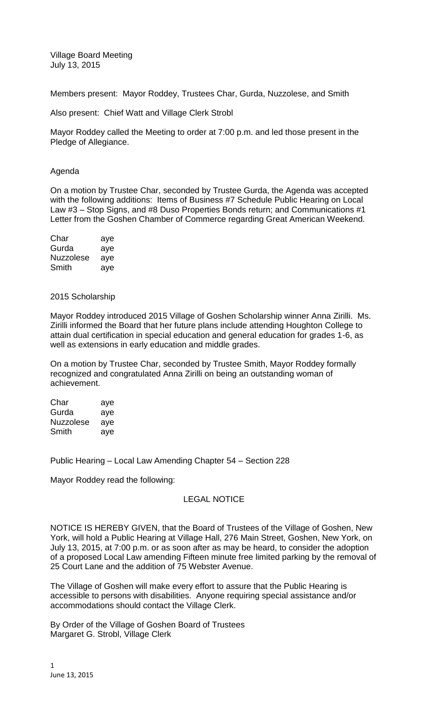Village Board Meeting July 13, 2015

Members present: Mayor Roddey, Trustees Char, Gurda, Nuzzolese, and Smith

Also present: Chief Watt and Village Clerk Strobl

Mayor Roddey called the Meeting to order at 7:00 p.m. and led those present in the Pledge of Allegiance.

## Agenda

On a motion by Trustee Char, seconded by Trustee Gurda, the Agenda was accepted with the following additions: Items of Business #7 Schedule Public Hearing on Local Law #3 – Stop Signs, and #8 Duso Properties Bonds return; and Communications #1 Letter from the Goshen Chamber of Commerce regarding Great American Weekend.

| Char      | aye |
|-----------|-----|
| Gurda     | aye |
| Nuzzolese | aye |
| Smith     | aye |

2015 Scholarship

Mayor Roddey introduced 2015 Village of Goshen Scholarship winner Anna Zirilli. Ms. Zirilli informed the Board that her future plans include attending Houghton College to attain dual certification in special education and general education for grades 1-6, as well as extensions in early education and middle grades.

On a motion by Trustee Char, seconded by Trustee Smith, Mayor Roddey formally recognized and congratulated Anna Zirilli on being an outstanding woman of achievement.

| Char      | aye |
|-----------|-----|
| Gurda     | aye |
| Nuzzolese | aye |
| Smith     | aye |

Public Hearing – Local Law Amending Chapter 54 – Section 228

Mayor Roddey read the following:

# LEGAL NOTICE

NOTICE IS HEREBY GIVEN, that the Board of Trustees of the Village of Goshen, New York, will hold a Public Hearing at Village Hall, 276 Main Street, Goshen, New York, on July 13, 2015, at 7:00 p.m. or as soon after as may be heard, to consider the adoption of a proposed Local Law amending Fifteen minute free limited parking by the removal of 25 Court Lane and the addition of 75 Webster Avenue.

The Village of Goshen will make every effort to assure that the Public Hearing is accessible to persons with disabilities. Anyone requiring special assistance and/or accommodations should contact the Village Clerk.

By Order of the Village of Goshen Board of Trustees Margaret G. Strobl, Village Clerk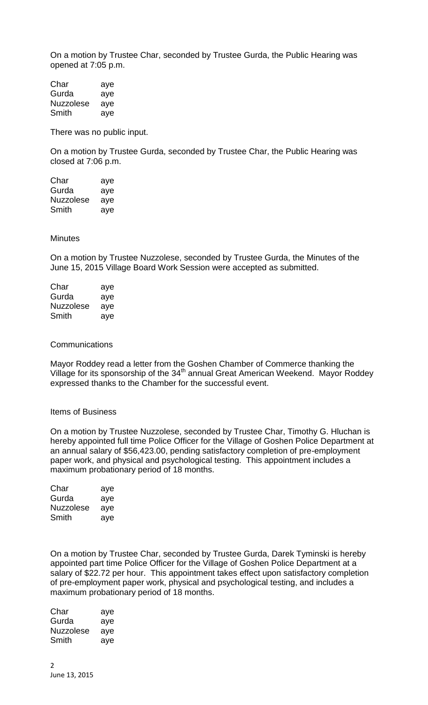On a motion by Trustee Char, seconded by Trustee Gurda, the Public Hearing was opened at 7:05 p.m.

Char aye Gurda aye Nuzzolese aye Smith aye

There was no public input.

On a motion by Trustee Gurda, seconded by Trustee Char, the Public Hearing was closed at 7:06 p.m.

Char aye Gurda aye Nuzzolese aye Smith aye

### **Minutes**

On a motion by Trustee Nuzzolese, seconded by Trustee Gurda, the Minutes of the June 15, 2015 Village Board Work Session were accepted as submitted.

| Char      | aye |
|-----------|-----|
| Gurda     | aye |
| Nuzzolese | aye |
| Smith     | aye |

#### **Communications**

Mayor Roddey read a letter from the Goshen Chamber of Commerce thanking the Village for its sponsorship of the 34<sup>th</sup> annual Great American Weekend. Mayor Roddey expressed thanks to the Chamber for the successful event.

#### Items of Business

On a motion by Trustee Nuzzolese, seconded by Trustee Char, Timothy G. Hluchan is hereby appointed full time Police Officer for the Village of Goshen Police Department at an annual salary of \$56,423.00, pending satisfactory completion of pre-employment paper work, and physical and psychological testing. This appointment includes a maximum probationary period of 18 months.

| Char      | aye |
|-----------|-----|
| Gurda     | aye |
| Nuzzolese | ave |
| Smith     | ave |

On a motion by Trustee Char, seconded by Trustee Gurda, Darek Tyminski is hereby appointed part time Police Officer for the Village of Goshen Police Department at a salary of \$22.72 per hour. This appointment takes effect upon satisfactory completion of pre-employment paper work, physical and psychological testing, and includes a maximum probationary period of 18 months.

| Char      | aye |
|-----------|-----|
| Gurda     | aye |
| Nuzzolese | aye |
| Smith     | aye |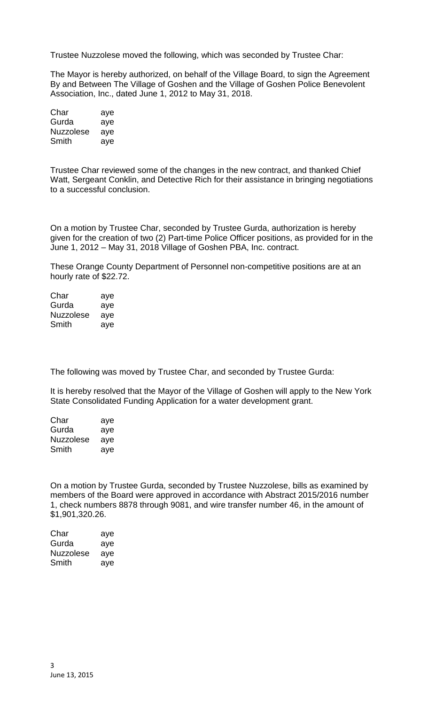Trustee Nuzzolese moved the following, which was seconded by Trustee Char:

The Mayor is hereby authorized, on behalf of the Village Board, to sign the Agreement By and Between The Village of Goshen and the Village of Goshen Police Benevolent Association, Inc., dated June 1, 2012 to May 31, 2018.

| Char      | aye |
|-----------|-----|
| Gurda     | aye |
| Nuzzolese | aye |
| Smith     | aye |

Trustee Char reviewed some of the changes in the new contract, and thanked Chief Watt, Sergeant Conklin, and Detective Rich for their assistance in bringing negotiations to a successful conclusion.

On a motion by Trustee Char, seconded by Trustee Gurda, authorization is hereby given for the creation of two (2) Part-time Police Officer positions, as provided for in the June 1, 2012 – May 31, 2018 Village of Goshen PBA, Inc. contract.

These Orange County Department of Personnel non-competitive positions are at an hourly rate of \$22.72.

| Char      | aye |
|-----------|-----|
| Gurda     | aye |
| Nuzzolese | aye |
| Smith     | aye |

The following was moved by Trustee Char, and seconded by Trustee Gurda:

It is hereby resolved that the Mayor of the Village of Goshen will apply to the New York State Consolidated Funding Application for a water development grant.

| Char      | aye |
|-----------|-----|
| Gurda     | aye |
| Nuzzolese | aye |
| Smith     | aye |

On a motion by Trustee Gurda, seconded by Trustee Nuzzolese, bills as examined by members of the Board were approved in accordance with Abstract 2015/2016 number 1, check numbers 8878 through 9081, and wire transfer number 46, in the amount of \$1,901,320.26.

| Char      | aye |
|-----------|-----|
| Gurda     | aye |
| Nuzzolese | aye |
| Smith     | aye |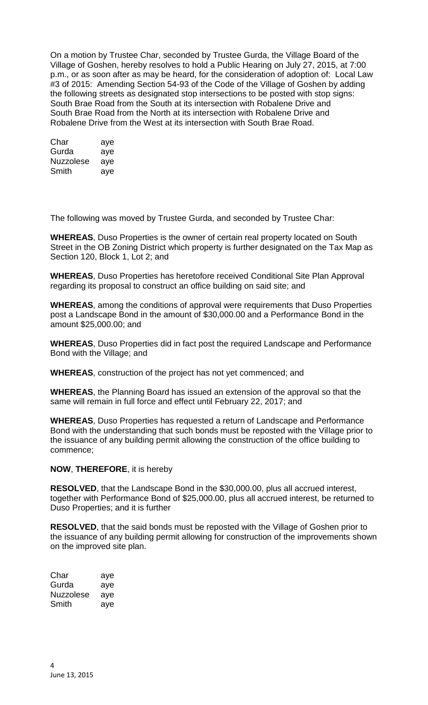On a motion by Trustee Char, seconded by Trustee Gurda, the Village Board of the Village of Goshen, hereby resolves to hold a Public Hearing on July 27, 2015, at 7:00 p.m., or as soon after as may be heard, for the consideration of adoption of: Local Law #3 of 2015: Amending Section 54-93 of the Code of the Village of Goshen by adding the following streets as designated stop intersections to be posted with stop signs: South Brae Road from the South at its intersection with Robalene Drive and South Brae Road from the North at its intersection with Robalene Drive and Robalene Drive from the West at its intersection with South Brae Road.

| Char      | aye |
|-----------|-----|
| Gurda     | aye |
| Nuzzolese | aye |
| Smith     | aye |

The following was moved by Trustee Gurda, and seconded by Trustee Char:

**WHEREAS**, Duso Properties is the owner of certain real property located on South Street in the OB Zoning District which property is further designated on the Tax Map as Section 120, Block 1, Lot 2; and

**WHEREAS**, Duso Properties has heretofore received Conditional Site Plan Approval regarding its proposal to construct an office building on said site; and

**WHEREAS**, among the conditions of approval were requirements that Duso Properties post a Landscape Bond in the amount of \$30,000.00 and a Performance Bond in the amount \$25,000.00; and

**WHEREAS**, Duso Properties did in fact post the required Landscape and Performance Bond with the Village; and

**WHEREAS**, construction of the project has not yet commenced; and

**WHEREAS**, the Planning Board has issued an extension of the approval so that the same will remain in full force and effect until February 22, 2017; and

**WHEREAS**, Duso Properties has requested a return of Landscape and Performance Bond with the understanding that such bonds must be reposted with the Village prior to the issuance of any building permit allowing the construction of the office building to commence;

### **NOW**, **THEREFORE**, it is hereby

**RESOLVED**, that the Landscape Bond in the \$30,000.00, plus all accrued interest, together with Performance Bond of \$25,000.00, plus all accrued interest, be returned to Duso Properties; and it is further

**RESOLVED**, that the said bonds must be reposted with the Village of Goshen prior to the issuance of any building permit allowing for construction of the improvements shown on the improved site plan.

| Char      | aye |
|-----------|-----|
| Gurda     | aye |
| Nuzzolese | aye |
| Smith     | aye |